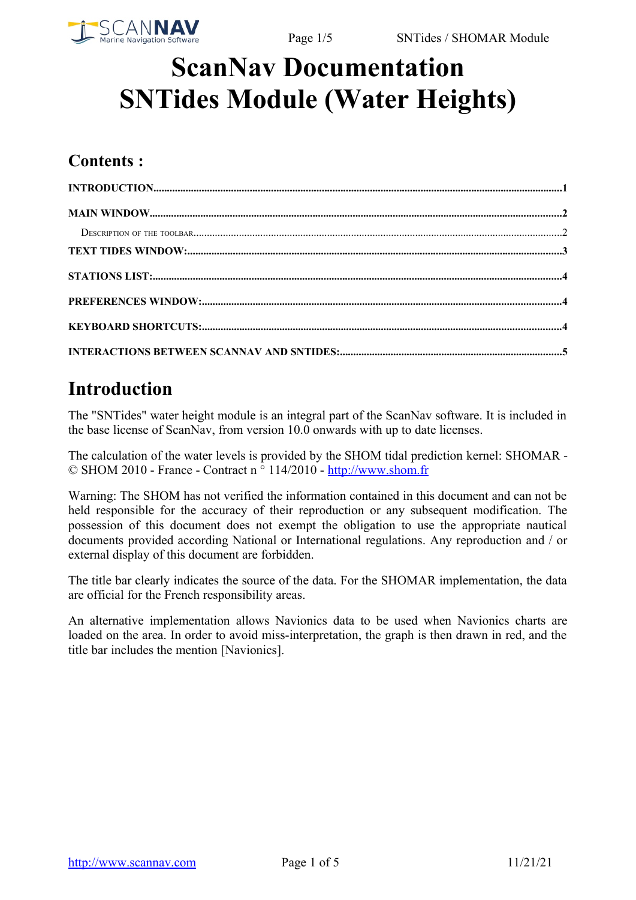

# **ScanNav Documentation SNTides Module (Water Heights)**

#### **Contents :**

#### <span id="page-0-0"></span>**Introduction**

The "SNTides" water height module is an integral part of the ScanNav software. It is included in the base license of ScanNav, from version 10.0 onwards with up to date licenses.

The calculation of the water levels is provided by the SHOM tidal prediction kernel: SHOMAR - © SHOM 2010 - France - Contract n ° 114/2010 - [http://www.shom.fr](http://www.shom.fr/)

Warning: The SHOM has not verified the information contained in this document and can not be held responsible for the accuracy of their reproduction or any subsequent modification. The possession of this document does not exempt the obligation to use the appropriate nautical documents provided according National or International regulations. Any reproduction and / or external display of this document are forbidden.

The title bar clearly indicates the source of the data. For the SHOMAR implementation, the data are official for the French responsibility areas.

An alternative implementation allows Navionics data to be used when Navionics charts are loaded on the area. In order to avoid miss-interpretation, the graph is then drawn in red, and the title bar includes the mention [Navionics].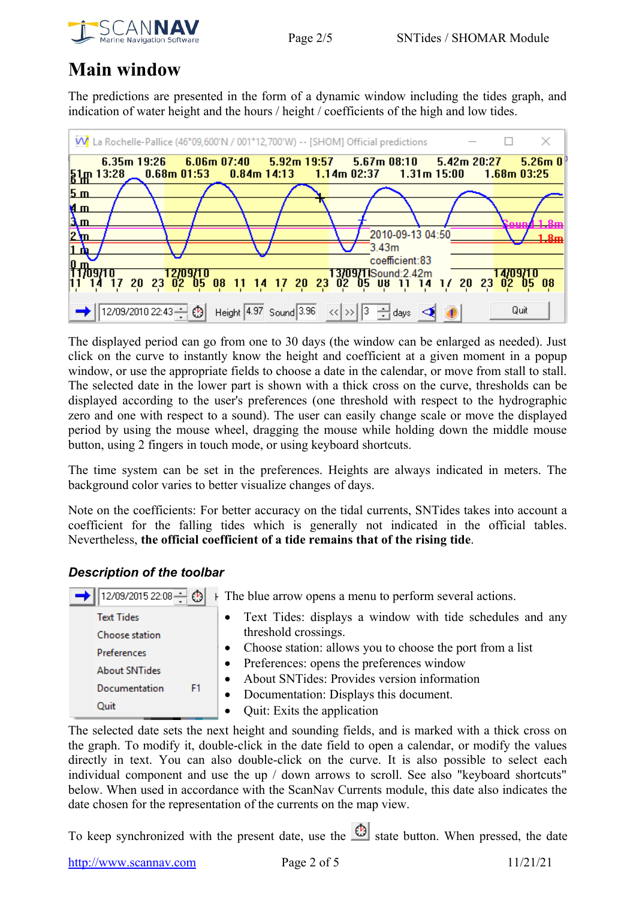



#### <span id="page-1-1"></span>**Main window**

The predictions are presented in the form of a dynamic window including the tides graph, and indication of water height and the hours / height / coefficients of the high and low tides.



The displayed period can go from one to 30 days (the window can be enlarged as needed). Just click on the curve to instantly know the height and coefficient at a given moment in a popup window, or use the appropriate fields to choose a date in the calendar, or move from stall to stall. The selected date in the lower part is shown with a thick cross on the curve, thresholds can be displayed according to the user's preferences (one threshold with respect to the hydrographic zero and one with respect to a sound). The user can easily change scale or move the displayed period by using the mouse wheel, dragging the mouse while holding down the middle mouse button, using 2 fingers in touch mode, or using keyboard shortcuts.

The time system can be set in the preferences. Heights are always indicated in meters. The background color varies to better visualize changes of days.

Note on the coefficients: For better accuracy on the tidal currents, SNTides takes into account a coefficient for the falling tides which is generally not indicated in the official tables. Nevertheless, **the official coefficient of a tide remains that of the rising tide**.

#### <span id="page-1-0"></span>*Description of the toolbar*

| 12/09/2015 22:08   ③ | $\vdash$ The blue arrow opens a menu to perform several actions. |
|----------------------|------------------------------------------------------------------|
| <b>Text Tides</b>    | • Text Tides: displays a window with tide schedules and any      |
| Choose station       | threshold crossings.                                             |
| Preferences          | • Choose station: allows you to choose the port from a list      |
| <b>About SNTides</b> | • Preferences: opens the preferences window                      |
|                      | About SNTides: Provides version information<br>$\bullet$         |
| Documentation<br>F1  | • Documentation: Displays this document.                         |
| Quit                 | Quit: Exits the application<br>$\bullet$                         |

The selected date sets the next height and sounding fields, and is marked with a thick cross on the graph. To modify it, double-click in the date field to open a calendar, or modify the values directly in text. You can also double-click on the curve. It is also possible to select each individual component and use the up / down arrows to scroll. See also "keyboard shortcuts" below. When used in accordance with the ScanNav Currents module, this date also indicates the date chosen for the representation of the currents on the map view.

To keep synchronized with the present date, use the  $\bigcirc$  state button. When pressed, the date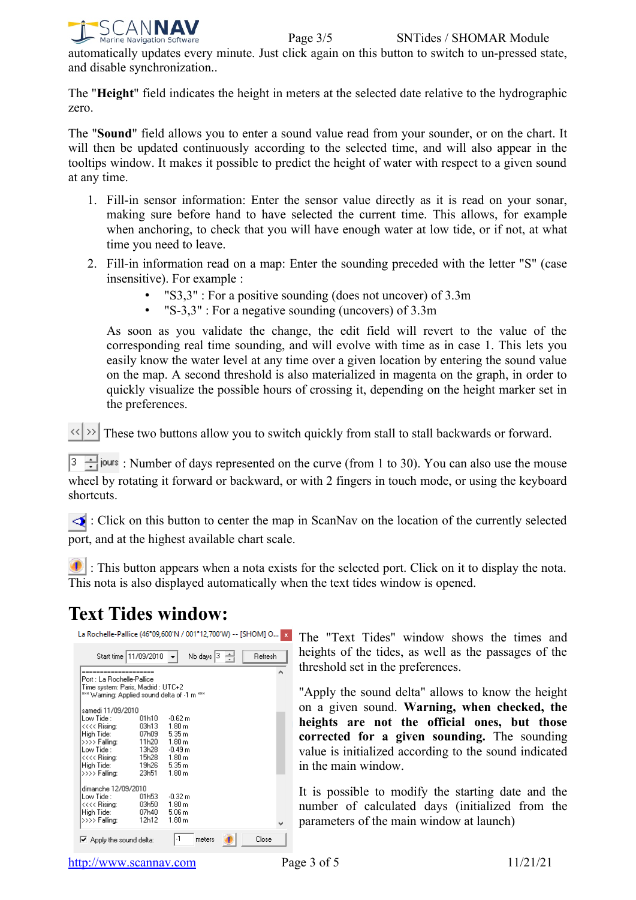

automatically updates every minute. Just click again on this button to switch to un-pressed state, and disable synchronization..

The "**Height**" field indicates the height in meters at the selected date relative to the hydrographic zero.

The "**Sound**" field allows you to enter a sound value read from your sounder, or on the chart. It will then be updated continuously according to the selected time, and will also appear in the tooltips window. It makes it possible to predict the height of water with respect to a given sound at any time.

- 1. Fill-in sensor information: Enter the sensor value directly as it is read on your sonar, making sure before hand to have selected the current time. This allows, for example when anchoring, to check that you will have enough water at low tide, or if not, at what time you need to leave.
- 2. Fill-in information read on a map: Enter the sounding preceded with the letter "S" (case insensitive). For example :
	- "S3,3" : For a positive sounding (does not uncover) of 3.3m
	- "S-3,3" : For a negative sounding (uncovers) of 3.3m

As soon as you validate the change, the edit field will revert to the value of the corresponding real time sounding, and will evolve with time as in case 1. This lets you easily know the water level at any time over a given location by entering the sound value on the map. A second threshold is also materialized in magenta on the graph, in order to quickly visualize the possible hours of crossing it, depending on the height marker set in the preferences.

 $\langle\langle\rangle\rangle$  These two buttons allow you to switch quickly from stall to stall backwards or forward.

 $\frac{3}{2}$  iours : Number of days represented on the curve (from 1 to 30). You can also use the mouse wheel by rotating it forward or backward, or with 2 fingers in touch mode, or using the keyboard shortcuts.

 : Click on this button to center the map in ScanNav on the location of the currently selected port, and at the highest available chart scale.

**1** : This button appears when a nota exists for the selected port. Click on it to display the nota. This nota is also displayed automatically when the text tides window is opened.

#### <span id="page-2-0"></span>**Text Tides window:**

| La Rochelle-Pallice (46°09,600'N / 001°12,700'W) -- [SHOM] O |                       |                   |                                                          |         | $\mathbf{x}$ |
|--------------------------------------------------------------|-----------------------|-------------------|----------------------------------------------------------|---------|--------------|
|                                                              | Start time 11/09/2010 |                   | Nb days $\begin{vmatrix} 3 & -1 \\ -1 & 2 \end{vmatrix}$ | Refresh |              |
| ---------------                                              |                       |                   |                                                          |         |              |
| Port : La Bochelle-Pallice                                   |                       |                   |                                                          |         |              |
| Time system: Paris, Madrid : UTC+2                           |                       |                   |                                                          |         |              |
| *** Warning: Applied sound delta of -1 m ***                 |                       |                   |                                                          |         |              |
| samedi 11/09/2010                                            |                       |                   |                                                          |         |              |
| Low Tide :                                                   | 01h10                 | $-0.62 m$         |                                                          |         |              |
| <<<< Rising:                                                 | 03h13                 | 1.80 m            |                                                          |         |              |
| High Tide:                                                   | 07h09                 | 5.35 m            |                                                          |         |              |
| >>>> Falling:                                                | 11h20                 | 1.80 m            |                                                          |         |              |
| Low Tide :                                                   | 13h28                 | $-0.49m$          |                                                          |         |              |
| <<<< Rising:                                                 | 15h28                 | 1.80 m            |                                                          |         |              |
| High Tide:                                                   | 19h26                 | 5.35 m            |                                                          |         |              |
| >>>> Falling:                                                | 23h51                 | 1.80 m            |                                                          |         |              |
| dimanche 12/09/2010                                          |                       |                   |                                                          |         |              |
| Low Tide :                                                   | 01h53                 | -0.32 m           |                                                          |         |              |
| <<<< Rising:                                                 | 03h50                 | 1.80 m            |                                                          |         |              |
| High Tide:                                                   | 07h40                 | 5.06 <sub>m</sub> |                                                          |         |              |
| >>>> Falling:                                                | 12h12                 | 1.80 m            |                                                          |         |              |
|                                                              |                       |                   |                                                          |         |              |
| $\blacktriangleright$ Apply the sound delta:                 |                       | -1                | meters                                                   | Close   |              |

The "Text Tides" window shows the times and heights of the tides, as well as the passages of the threshold set in the preferences.

"Apply the sound delta" allows to know the height on a given sound. **Warning, when checked, the heights are not the official ones, but those corrected for a given sounding.** The sounding value is initialized according to the sound indicated in the main window.

It is possible to modify the starting date and the number of calculated days (initialized from the parameters of the main window at launch)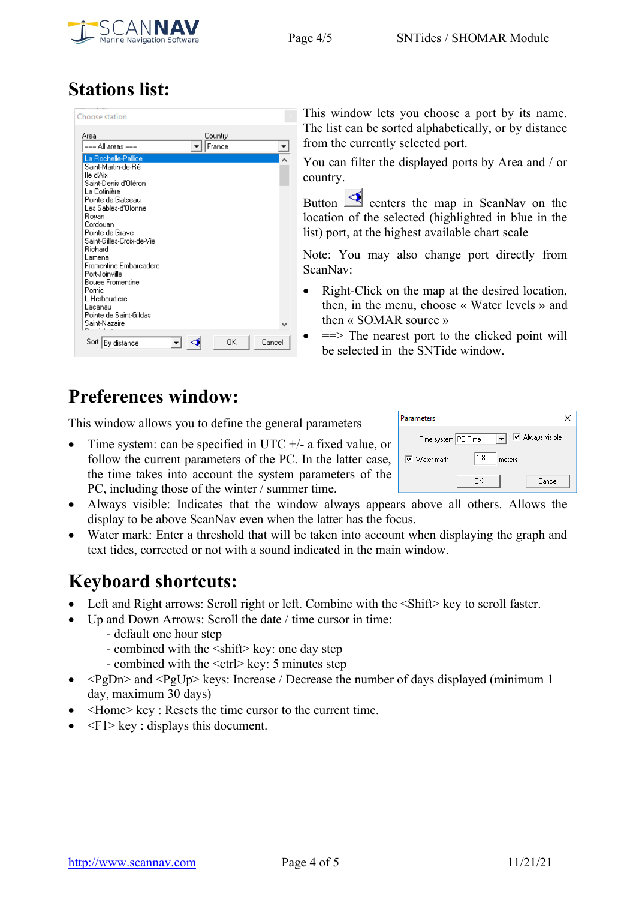

## <span id="page-3-2"></span>**Stations list:**

| Choose station                                                                                                                                                                                                                                                                                                                                                                                       |         |        |
|------------------------------------------------------------------------------------------------------------------------------------------------------------------------------------------------------------------------------------------------------------------------------------------------------------------------------------------------------------------------------------------------------|---------|--------|
| Area                                                                                                                                                                                                                                                                                                                                                                                                 | Country |        |
| === All areas ===                                                                                                                                                                                                                                                                                                                                                                                    | France  |        |
| La Rochelle-Pallice<br>Saint-Martin-de-Ré<br>lle d'Aix<br>Saint-Denis d'Oléron<br>La Cotinière<br>Pointe de Gatseau<br>Les Sables-d'Olonne<br>Royan<br>Cordouan<br>Pointe de Grave<br>Saint-Gilles-Croix-de-Vie<br><b>Bichard</b><br>Lamena.<br>Fromentine Embarcadere<br>Port-Joinville<br><b>Bouee Fromentine</b><br>Pornic<br>L Herbaudiere<br>Lacanau<br>Pointe de Saint-Gildas<br>Saint-Nazaire |         |        |
| Sort<br>By distance                                                                                                                                                                                                                                                                                                                                                                                  | OK      | Cancel |

This window lets you choose a port by its name. The list can be sorted alphabetically, or by distance from the currently selected port.

You can filter the displayed ports by Area and / or country.

Button  $\triangle$  centers the map in ScanNav on the location of the selected (highlighted in blue in the list) port, at the highest available chart scale

Note: You may also change port directly from ScanNav:

- Right-Click on the map at the desired location, then, in the menu, choose « Water levels » and then « SOMAR source »
	- $\implies$  The nearest port to the clicked point will be selected in the SNTide window.

## <span id="page-3-1"></span>**Preferences window:**

This window allows you to define the general parameters

• Time system: can be specified in UTC  $+/-$  a fixed value, or follow the current parameters of the PC. In the latter case, the time takes into account the system parameters of the PC, including those of the winter / summer time.

| Parameters                         |      |        |                         |
|------------------------------------|------|--------|-------------------------|
| Time system PC Time                |      |        | <b>▽</b> Always visible |
| $\overline{\mathsf{v}}$ Water mark | 11.8 | meters |                         |
|                                    | OΚ   |        | Cancel                  |

- Always visible: Indicates that the window always appears above all others. Allows the display to be above ScanNav even when the latter has the focus.
- Water mark: Enter a threshold that will be taken into account when displaying the graph and text tides, corrected or not with a sound indicated in the main window.

#### <span id="page-3-0"></span>**Keyboard shortcuts:**

- Left and Right arrows: Scroll right or left. Combine with the  $\le$ Shift $\ge$  key to scroll faster.
- Up and Down Arrows: Scroll the date / time cursor in time:
	- default one hour step
	- combined with the <shift> key: one day step
	- combined with the <ctrl> key: 5 minutes step
- $\langle \text{PgDn} \rangle$  and  $\langle \text{PgUp} \rangle$  keys: Increase / Decrease the number of days displayed (minimum 1) day, maximum 30 days)
- <Home> key : Resets the time cursor to the current time.
- $\leq F1$  key : displays this document.